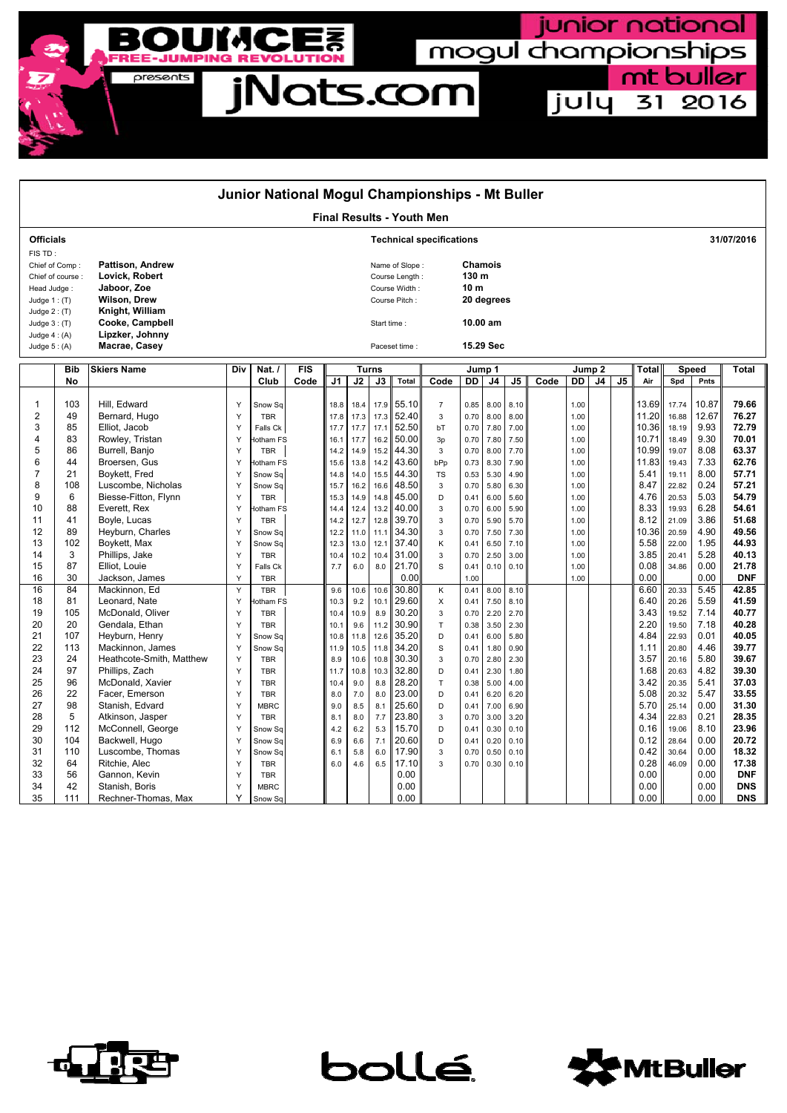

| Junior National Mogul Championships - Mt Buller     |                  |                                    |                         |                             |      |                             |                           |                |                |                |              |                |              |      |                   |                |    |                |                |              |                          |
|-----------------------------------------------------|------------------|------------------------------------|-------------------------|-----------------------------|------|-----------------------------|---------------------------|----------------|----------------|----------------|--------------|----------------|--------------|------|-------------------|----------------|----|----------------|----------------|--------------|--------------------------|
| <b>Final Results - Youth Men</b>                    |                  |                                    |                         |                             |      |                             |                           |                |                |                |              |                |              |      |                   |                |    |                |                |              |                          |
| <b>Officials</b><br><b>Technical specifications</b> |                  |                                    |                         |                             |      |                             |                           |                |                |                |              | 31/07/2016     |              |      |                   |                |    |                |                |              |                          |
| FIS TD:<br>Chief of Comp:                           |                  | <b>Pattison, Andrew</b>            |                         |                             |      |                             | Chamois<br>Name of Slope: |                |                |                |              |                |              |      |                   |                |    |                |                |              |                          |
|                                                     | Chief of course: | Lovick, Robert                     |                         |                             |      |                             |                           | Course Length: |                |                |              |                |              |      |                   |                |    |                |                |              |                          |
| Head Judge:                                         |                  | Jaboor, Zoe                        |                         |                             |      |                             |                           | Course Width:  |                | 10 m           |              |                |              |      |                   |                |    |                |                |              |                          |
| Judge $1:$ (T)                                      |                  | Wilson, Drew                       |                         |                             |      | 20 degrees<br>Course Pitch: |                           |                |                |                |              |                |              |      |                   |                |    |                |                |              |                          |
| Judge $2:$ (T)                                      |                  | Knight, William                    |                         |                             |      |                             |                           |                |                |                |              |                |              |      |                   |                |    |                |                |              |                          |
| Judge $3:$ (T)                                      |                  | Cooke, Campbell                    | 10.00 am<br>Start time: |                             |      |                             |                           |                |                |                |              |                |              |      |                   |                |    |                |                |              |                          |
| Judge $4: (A)$                                      |                  | Lipzker, Johnny<br>Macrae, Casey   |                         | 15.29 Sec<br>Paceset time : |      |                             |                           |                |                |                |              |                |              |      |                   |                |    |                |                |              |                          |
| Judge $5: (A)$                                      |                  |                                    |                         |                             |      |                             |                           |                |                |                |              |                |              |      |                   |                |    |                |                |              |                          |
|                                                     | <b>Bib</b>       | <b>Skiers Name</b>                 | Div                     | Nat. $/$                    |      |                             | <b>Turns</b>              |                |                | Jump 1         |              |                |              |      | Jump <sub>2</sub> |                |    |                | <b>Speed</b>   |              | <b>Total</b>             |
|                                                     | No               |                                    |                         | Club                        | Code | J1                          | J2                        | J3             | Total          | Code           | DD           | J <sub>4</sub> | J5           | Code | DD                | J <sub>4</sub> | J5 | Air            | Spd            | Pnts         |                          |
|                                                     |                  |                                    |                         |                             |      |                             |                           |                |                |                |              |                |              |      |                   |                |    |                |                |              |                          |
| 1                                                   | 103              | Hill. Edward                       | Y                       | Snow Sq                     |      | 18.8                        | 18.4                      | 17.9           | 55.10          | $\overline{7}$ | 0.85         | 8.00           | 8.10         |      | 1.00              |                |    | 13.69          | 17.74          | 10.87        | 79.66                    |
| 2                                                   | 49               | Bernard, Hugo                      | Y                       | <b>TBR</b>                  |      | 17.8                        | 17.3                      | 17.3           | 52.40          | 3              | 0.70         | 8.00           | 8.00         |      | 1.00              |                |    | 11.20          | 16.88          | 12.67        | 76.27                    |
| 3                                                   | 85               | Elliot, Jacob                      | Y                       | Falls Ck                    |      | 17.7                        | 17.7                      | 17.1           | 52.50          | bT             | 0.70         | 7.80           | 7.00         |      | 1.00              |                |    | 10.36          | 18.19          | 9.93         | 72.79                    |
| 4<br>5                                              | 83<br>86         | Rowley, Tristan<br>Burrell, Banjo  | Y                       | lotham FS<br><b>TBR</b>     |      | 16.1                        | 17.7                      | 16.2<br>15.2   | 50.00<br>44.30 | 3p<br>3        | 0.70<br>0.70 | 7.80<br>8.00   | 7.50         |      | 1.00              |                |    | 10.71<br>10.99 | 18.49<br>19.07 | 9.30<br>8.08 | 70.01<br>63.37           |
| 6                                                   | 44               | Broersen, Gus                      | Y<br>Y                  | lotham FS                   |      | 14.2<br>15.6                | 14.9<br>13.8              | 14.2           | 43.60          | bPp            | 0.73         | 8.30           | 7.70<br>7.90 |      | 1.00<br>1.00      |                |    | 11.83          | 19.43          | 7.33         | 62.76                    |
| $\overline{7}$                                      | 21               | Boykett, Fred                      | Y                       | Snow Sq                     |      | 14.8                        | 14.0                      | 15.5           | 44.30          | <b>TS</b>      | 0.53         | 5.30           | 4.90         |      | 1.00              |                |    | 5.41           | 19.11          | 8.00         | 57.71                    |
| 8                                                   | 108              | Luscombe, Nicholas                 | Y                       | Snow Sq                     |      | 15.7                        | 16.2                      | 16.6           | 48.50          | 3              | 0.70         | 5.80           | 6.30         |      | 1.00              |                |    | 8.47           | 22.82          | 0.24         | 57.21                    |
| 9                                                   | 6                | Biesse-Fitton, Flynn               | Y                       | <b>TBR</b>                  |      | 15.3                        | 14.9                      | 14.8           | 45.00          | D              | 0.41         | 6.00           | 5.60         |      | 1.00              |                |    | 4.76           | 20.53          | 5.03         | 54.79                    |
| 10                                                  | 88               | Everett, Rex                       | Y                       | otham FS                    |      | 14.4                        | 12.4                      | 13.2           | 40.00          | 3              | 0.70         | 6.00           | 5.90         |      | 1.00              |                |    | 8.33           | 19.93          | 6.28         | 54.61                    |
| 11                                                  | 41               | Boyle, Lucas                       | Y                       | <b>TBR</b>                  |      | 14.2                        | 12.7                      | 12.8           | 39.70          | 3              | 0.70         | 5.90           | 5.70         |      | 1.00              |                |    | 8.12           | 21.09          | 3.86         | 51.68                    |
| 12                                                  | 89               | Heyburn, Charles                   | Y                       | Snow Sq                     |      | 12.2                        | 11.0                      | 11.1           | 34.30          | $\mathbf 3$    | 0.70         | 7.50           | 7.30         |      | 1.00              |                |    | 10.36          | 20.59          | 4.90         | 49.56                    |
| 13                                                  | 102              | Boykett, Max                       | Y                       | Snow Sa                     |      | 12.3                        | 13.0                      | 12.1           | 37.40          | K              | 0.41         | 6.50           | 7.10         |      | 1.00              |                |    | 5.58           | 22.00          | 1.95         | 44.93                    |
| 14                                                  | 3                | Phillips, Jake                     | Y                       | <b>TBR</b>                  |      | 10.4                        | 10.2                      | 10.4           | 31.00          | 3              | 0.70         | 2.50           | 3.00         |      | 1.00              |                |    | 3.85           | 20.41          | 5.28         | 40.13                    |
| 15                                                  | 87               | Elliot, Louie                      | Y                       | Falls Ck                    |      | 7.7                         | 6.0                       | 8.0            | 21.70          | $\mathsf{s}$   | 0.41         | 0.10           | 0.10         |      | 1.00              |                |    | 0.08           | 34.86          | 0.00         | 21.78                    |
| 16                                                  | 30               | Jackson, James                     | Υ                       | <b>TBR</b>                  |      |                             |                           |                | 0.00           |                | 1.00         |                |              |      | 1.00              |                |    | 0.00           |                | 0.00         | <b>DNF</b>               |
| 16                                                  | 84               | Mackinnon, Ed                      | Υ                       | <b>TBR</b>                  |      | 9.6                         | 10.6                      | 10.6           | 30.80          | Κ              | 0.41         | 8.00           | 8.10         |      |                   |                |    | 6.60           | 20.33          | 5.45         | 42.85                    |
| 18                                                  | 81               | Leonard, Nate                      | Y                       | otham FS                    |      | 10.3                        | 9.2                       | 10.1           | 29.60          | X              | 0.41         | 7.50           | 8.10         |      |                   |                |    | 6.40           | 20.26          | 5.59         | 41.59                    |
| 19<br>20                                            | 105<br>20        | McDonald, Oliver<br>Gendala, Ethan | Y<br>Y                  | <b>TBR</b><br><b>TBR</b>    |      | 10.4                        | 10.9<br>9.6               | 8.9<br>11.2    | 30.20<br>30.90 | 3<br>$\top$    | 0.70<br>0.38 | 2.20<br>3.50   | 2.70         |      |                   |                |    | 3.43<br>2.20   | 19.52<br>19.50 | 7.14<br>7.18 | 40.77<br>40.28           |
| 21                                                  | 107              | Heyburn, Henry                     | Y                       | Snow Sq                     |      | 10.1<br>10.8                | 11.8                      | 12.6           | 35.20          | D              | 0.41         | 6.00           | 2.30<br>5.80 |      |                   |                |    | 4.84           | 22.93          | 0.01         | 40.05                    |
| 22                                                  | 113              | Mackinnon, James                   | Y                       | Snow Sq                     |      | 11.9                        | 10.5                      | 11.8           | 34.20          | $\mathsf{s}$   | 0.41         | 1.80           | 0.90         |      |                   |                |    | 1.11           | 20.80          | 4.46         | 39.77                    |
| 23                                                  | 24               | Heathcote-Smith, Matthew           | Y                       | <b>TBR</b>                  |      | 8.9                         | 10.6                      | 10.8           | 30.30          | 3              | 0.70         | 2.80           | 2.30         |      |                   |                |    | 3.57           | 20.16          | 5.80         | 39.67                    |
| 24                                                  | 97               | Phillips, Zach                     | Y                       | <b>TBR</b>                  |      | 11.7                        | 10.8                      | 10.3           | 32.80          | D              | 0.41         | 2.30           | 1.80         |      |                   |                |    | 1.68           | 20.63          | 4.82         | 39.30                    |
| 25                                                  | 96               | McDonald, Xavier                   | Y                       | <b>TBR</b>                  |      | 10.4                        | 9.0                       | 8.8            | 28.20          | $\top$         | 0.38         | 5.00           | 4.00         |      |                   |                |    | 3.42           | 20.35          | 5.41         | 37.03                    |
| 26                                                  | 22               | Facer, Emerson                     | Y                       | <b>TBR</b>                  |      | 8.0                         | 7.0                       | 8.0            | 23.00          | D              | 0.41         | 6.20           | 6.20         |      |                   |                |    | 5.08           | 20.32          | 5.47         | 33.55                    |
| 27                                                  | 98               | Stanish, Edvard                    | Y                       | <b>MBRC</b>                 |      | 9.0                         | 8.5                       | 8.1            | 25.60          | D              | 0.41         | 7.00           | 6.90         |      |                   |                |    | 5.70           | 25.14          | 0.00         | 31.30                    |
| 28                                                  | 5                | Atkinson, Jasper                   | Y                       | <b>TBR</b>                  |      | 8.1                         | 8.0                       | 7.7            | 23.80          | $\mathbf{3}$   | 0.70         | 3.00           | 3.20         |      |                   |                |    | 4.34           | 22.83          | 0.21         | 28.35                    |
| 29                                                  | 112              | McConnell, George                  | Y                       | Snow Sq                     |      | 4.2                         | 6.2                       | 5.3            | 15.70          | D              | 0.41         | 0.30           | 0.10         |      |                   |                |    | 0.16           | 19.06          | 8.10         | 23.96                    |
| 30                                                  | 104              | Backwell, Hugo                     | Y                       | Snow Sq                     |      | 6.9                         | 6.6                       | 7.1            | 20.60          | D              | 0.41         | 0.20           | 0.10         |      |                   |                |    | 0.12           | 28.64          | 0.00         | 20.72                    |
| 31                                                  | 110              | Luscombe, Thomas                   | Y                       | Snow Sq                     |      | 6.1                         | 5.8                       | 6.0            | 17.90          | 3              | 0.70         | 0.50           | 0.10         |      |                   |                |    | 0.42           | 30.64          | 0.00         | 18.32                    |
| 32                                                  | 64               | Ritchie, Alec                      | Y                       | <b>TBR</b>                  |      | 6.0                         | 4.6                       | 6.5            | 17.10          | 3              | 0.70         | 0.30           | 0.10         |      |                   |                |    | 0.28           | 46.09          | 0.00         | 17.38                    |
| 33                                                  | 56               | Gannon, Kevin                      | Y                       | <b>TBR</b>                  |      |                             |                           |                | 0.00           |                |              |                |              |      |                   |                |    | 0.00           |                | 0.00         | <b>DNF</b>               |
| 34<br>35                                            | 42<br>111        | Stanish, Boris                     | Y<br>Y                  | <b>MBRC</b>                 |      |                             |                           |                | 0.00<br>0.00   |                |              |                |              |      |                   |                |    | 0.00<br>0.00   |                | 0.00<br>0.00 | <b>DNS</b><br><b>DNS</b> |
|                                                     |                  | Rechner-Thomas, Max                |                         | Snow Sq                     |      |                             |                           |                |                |                |              |                |              |      |                   |                |    |                |                |              |                          |



bollé



junior national

july 31 2016